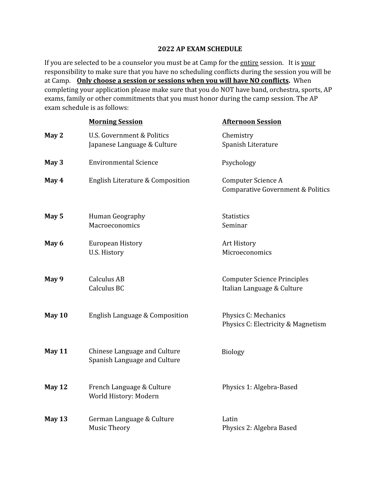## **2022 AP EXAM SCHEDULE**

If you are selected to be a counselor you must be at Camp for the entire session. It is your responsibility to make sure that you have no scheduling conflicts during the session you will be at Camp. **Only choose a session or sessions when you will have NO conflicts.** When completing your application please make sure that you do NOT have band, orchestra, sports, AP exams, family or other commitments that you must honor during the camp session. The AP exam schedule is as follows:

|          | <b>Morning Session</b>                                       | <b>Afternoon Session</b>                                         |  |
|----------|--------------------------------------------------------------|------------------------------------------------------------------|--|
| May 2    | U.S. Government & Politics<br>Japanese Language & Culture    | Chemistry<br>Spanish Literature                                  |  |
| May 3    | <b>Environmental Science</b>                                 | Psychology                                                       |  |
| May 4    | English Literature & Composition                             | Computer Science A<br>Comparative Government & Politics          |  |
| May 5    | Human Geography<br>Macroeconomics                            | <b>Statistics</b><br>Seminar                                     |  |
| May 6    | European History<br>U.S. History                             | Art History<br>Microeconomics                                    |  |
| May 9    | <b>Calculus AB</b><br>Calculus BC                            | <b>Computer Science Principles</b><br>Italian Language & Culture |  |
| May 10   | English Language & Composition                               | Physics C: Mechanics<br>Physics C: Electricity & Magnetism       |  |
| May 11   | Chinese Language and Culture<br>Spanish Language and Culture | <b>Biology</b>                                                   |  |
| May 12   | French Language & Culture<br>World History: Modern           | Physics 1: Algebra-Based                                         |  |
| May $13$ | German Language & Culture<br><b>Music Theory</b>             | Latin<br>Physics 2: Algebra Based                                |  |